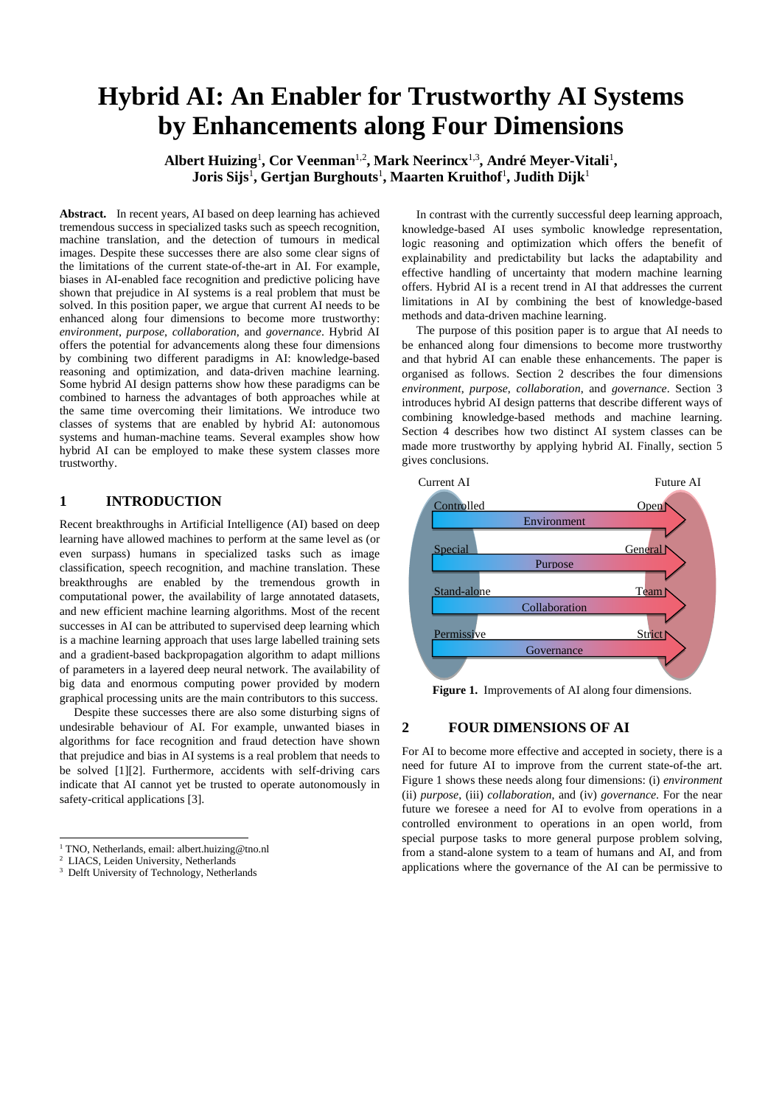# **Hybrid AI: An Enabler for Trustworthy AI Systems by Enhancements along Four Dimensions**

Albert Huizing<sup>1</sup>, Cor Veenman<sup>1,2</sup>, Mark Neerincx<sup>1,3</sup>, André Meyer-Vitali<sup>1</sup>, **Joris Sijs**<sup>1</sup> **, Gertjan Burghouts**<sup>1</sup> **, Maarten Kruithof**<sup>1</sup> **, Judith Dijk**<sup>1</sup>

Abstract. In recent years, AI based on deep learning has achieved tremendous success in specialized tasks such as speech recognition, machine translation, and the detection of tumours in medical images. Despite these successes there are also some clear signs of the limitations of the current state-of-the-art in AI. For example, biases in AI-enabled face recognition and predictive policing have shown that prejudice in AI systems is a real problem that must be solved. In this position paper, we argue that current AI needs to be enhanced along four dimensions to become more trustworthy: *environment*, *purpose*, *collaboration*, and *governance*. Hybrid AI offers the potential for advancements along these four dimensions by combining two different paradigms in AI: knowledge-based reasoning and optimization, and data-driven machine learning. Some hybrid AI design patterns show how these paradigms can be combined to harness the advantages of both approaches while at the same time overcoming their limitations. We introduce two classes of systems that are enabled by hybrid AI: autonomous systems and human-machine teams. Several examples show how hybrid AI can be employed to make these system classes more trustworthy.

# **1 INTRODUCTION**

Recent breakthroughs in Artificial Intelligence (AI) based on deep learning have allowed machines to perform at the same level as (or even surpass) humans in specialized tasks such as image classification, speech recognition, and machine translation. These breakthroughs are enabled by the tremendous growth in computational power, the availability of large annotated datasets, and new efficient machine learning algorithms. Most of the recent successes in AI can be attributed to supervised deep learning which is a machine learning approach that uses large labelled training sets and a gradient-based backpropagation algorithm to adapt millions of parameters in a layered deep neural network. The availability of big data and enormous computing power provided by modern graphical processing units are the main contributors to this success.

Despite these successes there are also some disturbing signs of undesirable behaviour of AI. For example, unwanted biases in algorithms for face recognition and fraud detection have shown that prejudice and bias in AI systems is a real problem that needs to be solved [\[1\]](#page-5-0)[\[2\].](#page-5-1) Furthermore, accidents with self-driving cars indicate that AI cannot yet be trusted to operate autonomously in safety-critical applications [\[3\].](#page-5-2)

In contrast with the currently successful deep learning approach, knowledge-based AI uses symbolic knowledge representation, logic reasoning and optimization which offers the benefit of explainability and predictability but lacks the adaptability and effective handling of uncertainty that modern machine learning offers. Hybrid AI is a recent trend in AI that addresses the current limitations in AI by combining the best of knowledge-based methods and data-driven machine learning.

The purpose of this position paper is to argue that AI needs to be enhanced along four dimensions to become more trustworthy and that hybrid AI can enable these enhancements. The paper is organised as follows. Section 2 describes the four dimensions *environment*, *purpose*, *collaboration*, and *governance*. Section 3 introduces hybrid AI design patterns that describe different ways of combining knowledge-based methods and machine learning. Section 4 describes how two distinct AI system classes can be made more trustworthy by applying hybrid AI. Finally, section 5 gives conclusions.



**Figure 1.** Improvements of AI along four dimensions.

# **2 FOUR DIMENSIONS OF AI**

For AI to become more effective and accepted in society, there is a need for future AI to improve from the current state-of-the art. Figure 1 shows these needs along four dimensions: (i) *environment* (ii) *purpose*, (iii) *collaboration*, and (iv) *governance*. For the near future we foresee a need for AI to evolve from operations in a controlled environment to operations in an open world, from special purpose tasks to more general purpose problem solving, from a stand-alone system to a team of humans and AI, and from applications where the governance of the AI can be permissive to

 $1$  TNO, Netherlands, email: albert huizing@tno.nl

<sup>2</sup> LIACS, Leiden University, Netherlands

<sup>&</sup>lt;sup>3</sup> Delft University of Technology, Netherlands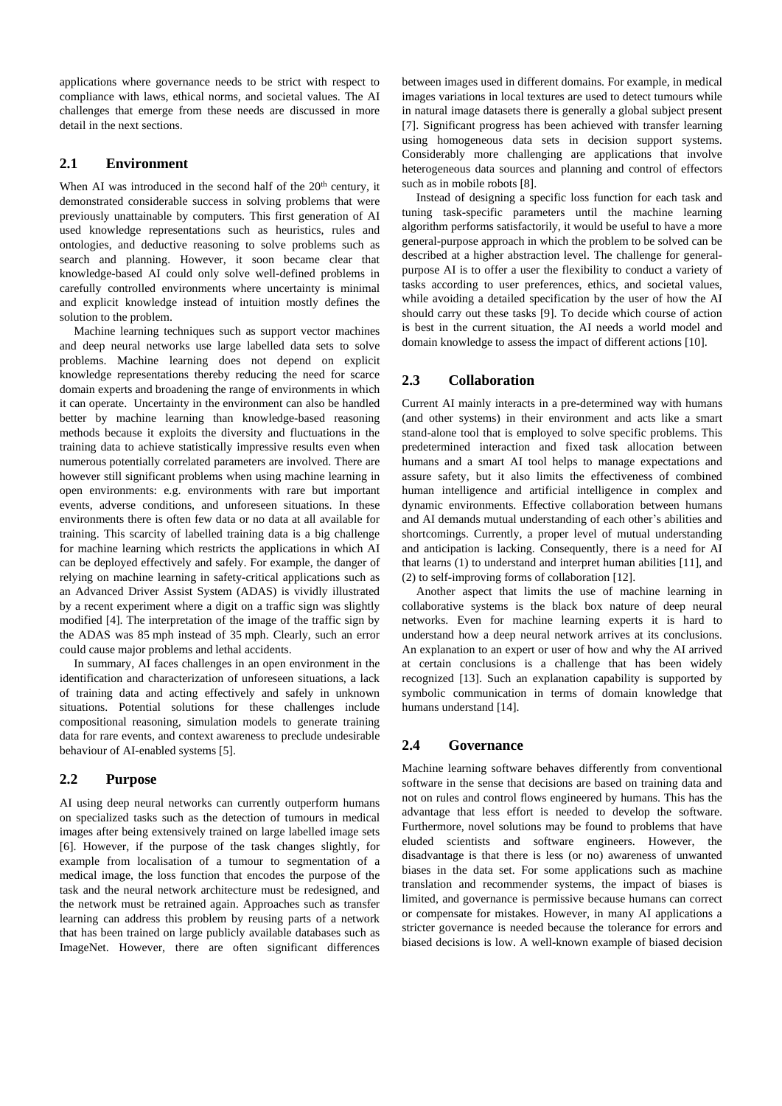applications where governance needs to be strict with respect to compliance with laws, ethical norms, and societal values. The AI challenges that emerge from these needs are discussed in more detail in the next sections.

# **2.1 Environment**

When AI was introduced in the second half of the  $20<sup>th</sup>$  century, it demonstrated considerable success in solving problems that were previously unattainable by computers. This first generation of AI used knowledge representations such as heuristics, rules and ontologies, and deductive reasoning to solve problems such as search and planning. However, it soon became clear that knowledge-based AI could only solve well-defined problems in carefully controlled environments where uncertainty is minimal and explicit knowledge instead of intuition mostly defines the solution to the problem.

Machine learning techniques such as support vector machines and deep neural networks use large labelled data sets to solve problems. Machine learning does not depend on explicit knowledge representations thereby reducing the need for scarce domain experts and broadening the range of environments in which it can operate. Uncertainty in the environment can also be handled better by machine learning than knowledge-based reasoning methods because it exploits the diversity and fluctuations in the training data to achieve statistically impressive results even when numerous potentially correlated parameters are involved. There are however still significant problems when using machine learning in open environments: e.g. environments with rare but important events, adverse conditions, and unforeseen situations. In these environments there is often few data or no data at all available for training. This scarcity of labelled training data is a big challenge for machine learning which restricts the applications in which AI can be deployed effectively and safely. For example, the danger of relying on machine learning in safety-critical applications such as an Advanced Driver Assist System (ADAS) is vividly illustrated by a recent experiment where a digit on a traffic sign was slightly modified [\[4\].](#page-5-3) The interpretation of the image of the traffic sign by the ADAS was 85 mph instead of 35 mph. Clearly, such an error could cause major problems and lethal accidents.

In summary, AI faces challenges in an open environment in the identification and characterization of unforeseen situations, a lack of training data and acting effectively and safely in unknown situations. Potential solutions for these challenges include compositional reasoning, simulation models to generate training data for rare events, and context awareness to preclude undesirable behaviour of AI-enabled systems [\[5\].](#page-5-4)

### **2.2 Purpose**

AI using deep neural networks can currently outperform humans on specialized tasks such as the detection of tumours in medical images after being extensively trained on large labelled image sets [\[6\].](#page-5-5) However, if the purpose of the task changes slightly, for example from localisation of a tumour to segmentation of a medical image, the loss function that encodes the purpose of the task and the neural network architecture must be redesigned, and the network must be retrained again. Approaches such as transfer learning can address this problem by reusing parts of a network that has been trained on large publicly available databases such as ImageNet. However, there are often significant differences between images used in different domains. For example, in medical images variations in local textures are used to detect tumours while in natural image datasets there is generally a global subject present [\[7\].](#page-5-6) Significant progress has been achieved with transfer learning using homogeneous data sets in decision support systems. Considerably more challenging are applications that involve heterogeneous data sources and planning and control of effectors such as in mobile robots [\[8\].](#page-5-7)

Instead of designing a specific loss function for each task and tuning task-specific parameters until the machine learning algorithm performs satisfactorily, it would be useful to have a more general-purpose approach in which the problem to be solved can be described at a higher abstraction level. The challenge for generalpurpose AI is to offer a user the flexibility to conduct a variety of tasks according to user preferences, ethics, and societal values, while avoiding a detailed specification by the user of how the AI should carry out these tasks [\[9\].](#page-5-8) To decide which course of action is best in the current situation, the AI needs a world model and domain knowledge to assess the impact of different actions [\[10\].](#page-5-9)

## **2.3 Collaboration**

Current AI mainly interacts in a pre-determined way with humans (and other systems) in their environment and acts like a smart stand-alone tool that is employed to solve specific problems. This predetermined interaction and fixed task allocation between humans and a smart AI tool helps to manage expectations and assure safety, but it also limits the effectiveness of combined human intelligence and artificial intelligence in complex and dynamic environments. Effective collaboration between humans and AI demands mutual understanding of each other's abilities and shortcomings. Currently, a proper level of mutual understanding and anticipation is lacking. Consequently, there is a need for AI that learns (1) to understand and interpret human abilities [\[11\],](#page-5-10) and (2) to self-improving forms of collaboration [\[12\].](#page-5-11)

Another aspect that limits the use of machine learning in collaborative systems is the black box nature of deep neural networks. Even for machine learning experts it is hard to understand how a deep neural network arrives at its conclusions. An explanation to an expert or user of how and why the AI arrived at certain conclusions is a challenge that has been widely recognized [\[13\].](#page-5-12) Such an explanation capability is supported by symbolic communication in terms of domain knowledge that humans understand [\[14\].](#page-5-13)

# **2.4 Governance**

Machine learning software behaves differently from conventional software in the sense that decisions are based on training data and not on rules and control flows engineered by humans. This has the advantage that less effort is needed to develop the software. Furthermore, novel solutions may be found to problems that have eluded scientists and software engineers. However, the disadvantage is that there is less (or no) awareness of unwanted biases in the data set. For some applications such as machine translation and recommender systems, the impact of biases is limited, and governance is permissive because humans can correct or compensate for mistakes. However, in many AI applications a stricter governance is needed because the tolerance for errors and biased decisions is low. A well-known example of biased decision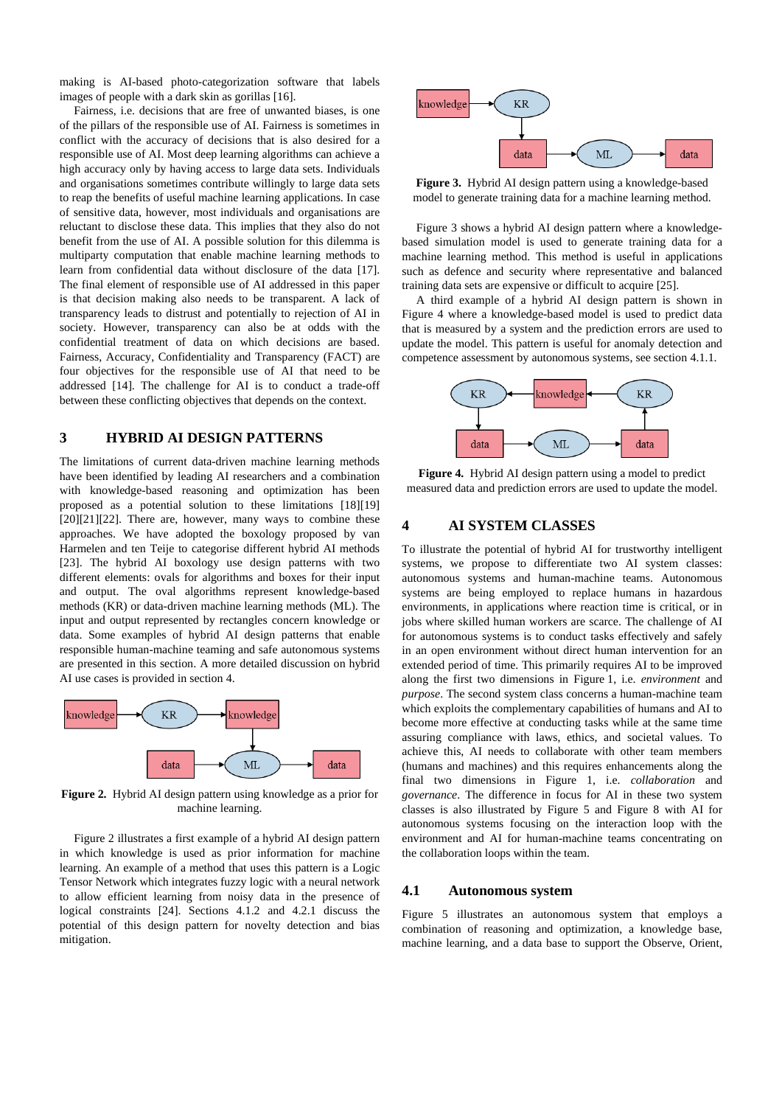making is AI-based photo-categorization software that labels images of people with a dark skin as gorillas [\[16\].](#page-5-14)

Fairness, i.e. decisions that are free of unwanted biases, is one of the pillars of the responsible use of AI. Fairness is sometimes in conflict with the accuracy of decisions that is also desired for a responsible use of AI. Most deep learning algorithms can achieve a high accuracy only by having access to large data sets. Individuals and organisations sometimes contribute willingly to large data sets to reap the benefits of useful machine learning applications. In case of sensitive data, however, most individuals and organisations are reluctant to disclose these data. This implies that they also do not benefit from the use of AI. A possible solution for this dilemma is multiparty computation that enable machine learning methods to learn from confidential data without disclosure of the data [\[17\].](#page-5-15) The final element of responsible use of AI addressed in this paper is that decision making also needs to be transparent. A lack of transparency leads to distrust and potentially to rejection of AI in society. However, transparency can also be at odds with the confidential treatment of data on which decisions are based. Fairness, Accuracy, Confidentiality and Transparency (FACT) are four objectives for the responsible use of AI that need to be addressed [\[14\].](#page-5-13) The challenge for AI is to conduct a trade-off between these conflicting objectives that depends on the context.

# **3 HYBRID AI DESIGN PATTERNS**

The limitations of current data-driven machine learning methods have been identified by leading AI researchers and a combination with knowledge-based reasoning and optimization has been proposed as a potential solution to these limitations [\[18\]](#page-5-16)[\[19\]](#page-5-17)  $[20][21][22]$  $[20][21][22]$  $[20][21][22]$ . There are, however, many ways to combine these approaches. We have adopted the boxology proposed by van Harmelen and ten Teije to categorise different hybrid AI methods [\[23\].](#page-5-21) The hybrid AI boxology use design patterns with two different elements: ovals for algorithms and boxes for their input and output. The oval algorithms represent knowledge-based methods (KR) or data-driven machine learning methods (ML). The input and output represented by rectangles concern knowledge or data. Some examples of hybrid AI design patterns that enable responsible human-machine teaming and safe autonomous systems are presented in this section. A more detailed discussion on hybrid AI use cases is provided in section 4.



**Figure 2.** Hybrid AI design pattern using knowledge as a prior for machine learning.

Figure 2 illustrates a first example of a hybrid AI design pattern in which knowledge is used as prior information for machine learning. An example of a method that uses this pattern is a Logic Tensor Network which integrates fuzzy logic with a neural network to allow efficient learning from noisy data in the presence of logical constraints [\[24\].](#page-5-22) Sections 4.1.2 and 4.2.1 discuss the potential of this design pattern for novelty detection and bias mitigation.



**Figure 3.** Hybrid AI design pattern using a knowledge-based model to generate training data for a machine learning method.

Figure 3 shows a hybrid AI design pattern where a knowledgebased simulation model is used to generate training data for a machine learning method. This method is useful in applications such as defence and security where representative and balanced training data sets are expensive or difficult to acquire [\[25\].](#page-5-23)

A third example of a hybrid AI design pattern is shown in Figure 4 where a knowledge-based model is used to predict data that is measured by a system and the prediction errors are used to update the model. This pattern is useful for anomaly detection and competence assessment by autonomous systems, see section 4.1.1.



**Figure 4.** Hybrid AI design pattern using a model to predict measured data and prediction errors are used to update the model.

# **4 AI SYSTEM CLASSES**

To illustrate the potential of hybrid AI for trustworthy intelligent systems, we propose to differentiate two AI system classes: autonomous systems and human-machine teams. Autonomous systems are being employed to replace humans in hazardous environments, in applications where reaction time is critical, or in jobs where skilled human workers are scarce. The challenge of AI for autonomous systems is to conduct tasks effectively and safely in an open environment without direct human intervention for an extended period of time. This primarily requires AI to be improved along the first two dimensions in Figure 1, i.e. *environment* and *purpose*. The second system class concerns a human-machine team which exploits the complementary capabilities of humans and AI to become more effective at conducting tasks while at the same time assuring compliance with laws, ethics, and societal values. To achieve this, AI needs to collaborate with other team members (humans and machines) and this requires enhancements along the final two dimensions in Figure 1, i.e. *collaboration* and *governance*. The difference in focus for AI in these two system classes is also illustrated by Figure 5 and Figure 8 with AI for autonomous systems focusing on the interaction loop with the environment and AI for human-machine teams concentrating on the collaboration loops within the team.

#### **4.1 Autonomous system**

Figure 5 illustrates an autonomous system that employs a combination of reasoning and optimization, a knowledge base, machine learning, and a data base to support the Observe, Orient,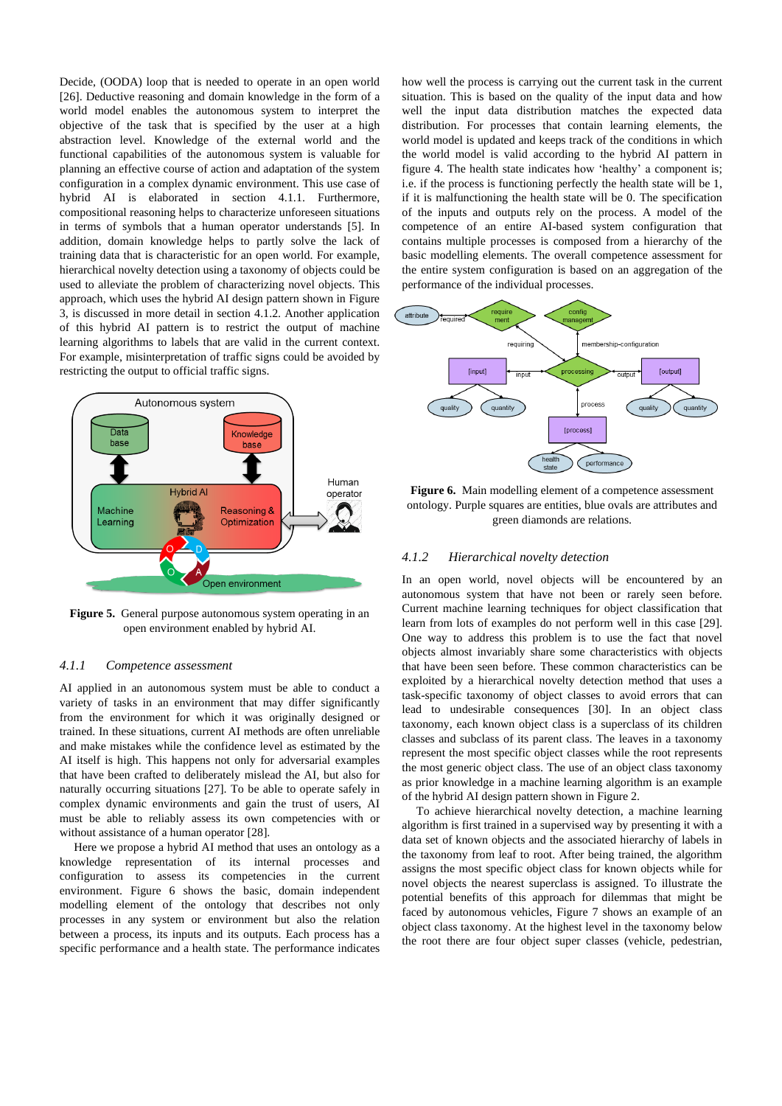Decide, (OODA) loop that is needed to operate in an open world [\[26\].](#page-5-24) Deductive reasoning and domain knowledge in the form of a world model enables the autonomous system to interpret the objective of the task that is specified by the user at a high abstraction level. Knowledge of the external world and the functional capabilities of the autonomous system is valuable for planning an effective course of action and adaptation of the system configuration in a complex dynamic environment. This use case of hybrid AI is elaborated in section 4.1.1. Furthermore, compositional reasoning helps to characterize unforeseen situations in terms of symbols that a human operator understands [\[5\].](#page-5-4) In addition, domain knowledge helps to partly solve the lack of training data that is characteristic for an open world. For example, hierarchical novelty detection using a taxonomy of objects could be used to alleviate the problem of characterizing novel objects. This approach, which uses the hybrid AI design pattern shown in Figure 3, is discussed in more detail in section 4.1.2. Another application of this hybrid AI pattern is to restrict the output of machine learning algorithms to labels that are valid in the current context. For example, misinterpretation of traffic signs could be avoided by restricting the output to official traffic signs.



**Figure 5.** General purpose autonomous system operating in an open environment enabled by hybrid AI.

#### *4.1.1 Competence assessment*

AI applied in an autonomous system must be able to conduct a variety of tasks in an environment that may differ significantly from the environment for which it was originally designed or trained. In these situations, current AI methods are often unreliable and make mistakes while the confidence level as estimated by the AI itself is high. This happens not only for adversarial examples that have been crafted to deliberately mislead the AI, but also for naturally occurring situations [\[27\].](#page-5-25) To be able to operate safely in complex dynamic environments and gain the trust of users, AI must be able to reliably assess its own competencies with or without assistance of a human operato[r \[28\].](#page-5-26)

Here we propose a hybrid AI method that uses an ontology as a knowledge representation of its internal processes and configuration to assess its competencies in the current environment. Figure 6 shows the basic, domain independent modelling element of the ontology that describes not only processes in any system or environment but also the relation between a process, its inputs and its outputs. Each process has a specific performance and a health state. The performance indicates how well the process is carrying out the current task in the current situation. This is based on the quality of the input data and how well the input data distribution matches the expected data distribution. For processes that contain learning elements, the world model is updated and keeps track of the conditions in which the world model is valid according to the hybrid AI pattern in figure 4. The health state indicates how 'healthy' a component is; i.e. if the process is functioning perfectly the health state will be 1, if it is malfunctioning the health state will be 0. The specification of the inputs and outputs rely on the process. A model of the competence of an entire AI-based system configuration that contains multiple processes is composed from a hierarchy of the basic modelling elements. The overall competence assessment for the entire system configuration is based on an aggregation of the performance of the individual processes.



Figure 6. Main modelling element of a competence assessment ontology. Purple squares are entities, blue ovals are attributes and green diamonds are relations.

# *4.1.2 Hierarchical novelty detection*

In an open world, novel objects will be encountered by an autonomous system that have not been or rarely seen before. Current machine learning techniques for object classification that learn from lots of examples do not perform well in this case [\[29\].](#page-5-27) One way to address this problem is to use the fact that novel objects almost invariably share some characteristics with objects that have been seen before. These common characteristics can be exploited by a hierarchical novelty detection method that uses a task-specific taxonomy of object classes to avoid errors that can lead to undesirable consequences [\[30\].](#page-5-28) In an object class taxonomy, each known object class is a superclass of its children classes and subclass of its parent class. The leaves in a taxonomy represent the most specific object classes while the root represents the most generic object class. The use of an object class taxonomy as prior knowledge in a machine learning algorithm is an example of the hybrid AI design pattern shown in Figure 2.

To achieve hierarchical novelty detection, a machine learning algorithm is first trained in a supervised way by presenting it with a data set of known objects and the associated hierarchy of labels in the taxonomy from leaf to root. After being trained, the algorithm assigns the most specific object class for known objects while for novel objects the nearest superclass is assigned. To illustrate the potential benefits of this approach for dilemmas that might be faced by autonomous vehicles, Figure 7 shows an example of an object class taxonomy. At the highest level in the taxonomy below the root there are four object super classes (vehicle, pedestrian,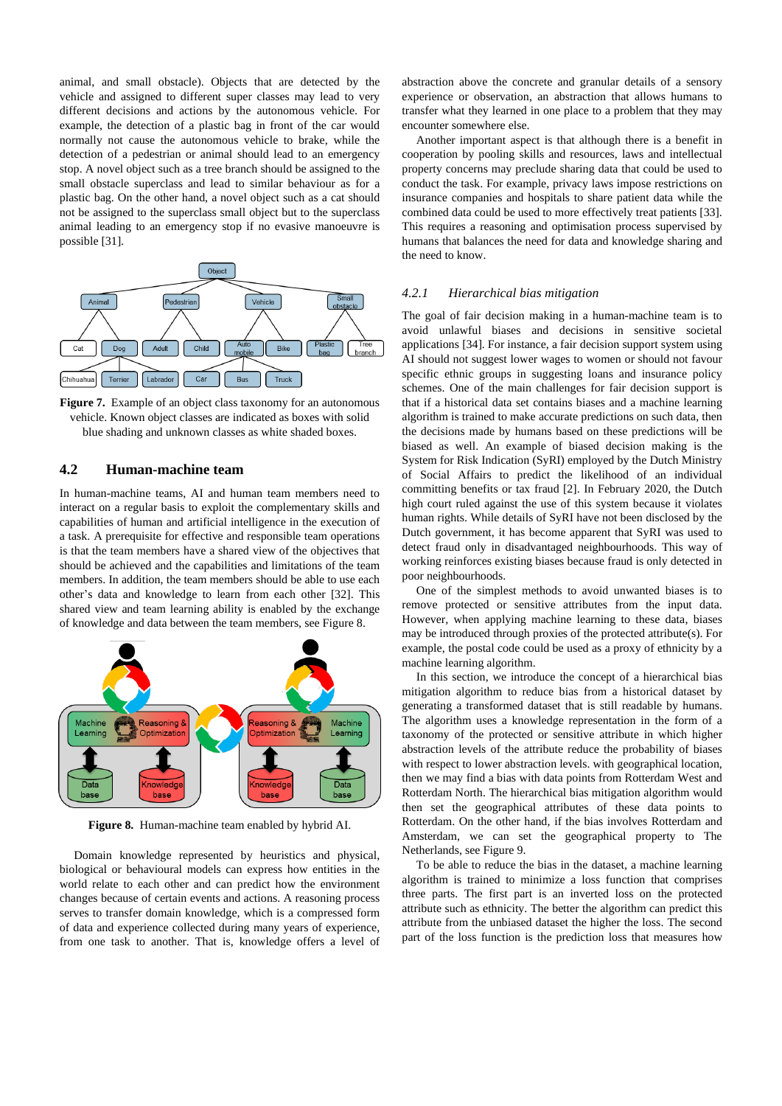animal, and small obstacle). Objects that are detected by the vehicle and assigned to different super classes may lead to very different decisions and actions by the autonomous vehicle. For example, the detection of a plastic bag in front of the car would normally not cause the autonomous vehicle to brake, while the detection of a pedestrian or animal should lead to an emergency stop. A novel object such as a tree branch should be assigned to the small obstacle superclass and lead to similar behaviour as for a plastic bag. On the other hand, a novel object such as a cat should not be assigned to the superclass small object but to the superclass animal leading to an emergency stop if no evasive manoeuvre is possible [\[31\].](#page-5-29)



**Figure 7.** Example of an object class taxonomy for an autonomous vehicle. Known object classes are indicated as boxes with solid blue shading and unknown classes as white shaded boxes.

# **4.2 Human-machine team**

In human-machine teams, AI and human team members need to interact on a regular basis to exploit the complementary skills and capabilities of human and artificial intelligence in the execution of a task. A prerequisite for effective and responsible team operations is that the team members have a shared view of the objectives that should be achieved and the capabilities and limitations of the team members. In addition, the team members should be able to use each other's data and knowledge to learn from each other [\[32\].](#page-5-30) This shared view and team learning ability is enabled by the exchange of knowledge and data between the team members, see Figure 8.



**Figure 8.** Human-machine team enabled by hybrid AI.

Domain knowledge represented by heuristics and physical, biological or behavioural models can express how entities in the world relate to each other and can predict how the environment changes because of certain events and actions. A reasoning process serves to transfer domain knowledge, which is a compressed form of data and experience collected during many years of experience, from one task to another. That is, knowledge offers a level of abstraction above the concrete and granular details of a sensory experience or observation, an abstraction that allows humans to transfer what they learned in one place to a problem that they may encounter somewhere else.

Another important aspect is that although there is a benefit in cooperation by pooling skills and resources, laws and intellectual property concerns may preclude sharing data that could be used to conduct the task. For example, privacy laws impose restrictions on insurance companies and hospitals to share patient data while the combined data could be used to more effectively treat patients [\[33\].](#page-5-31) This requires a reasoning and optimisation process supervised by humans that balances the need for data and knowledge sharing and the need to know.

# *4.2.1 Hierarchical bias mitigation*

The goal of fair decision making in a human-machine team is to avoid unlawful biases and decisions in sensitive societal applications [\[34\].](#page-5-32) For instance, a fair decision support system using AI should not suggest lower wages to women or should not favour specific ethnic groups in suggesting loans and insurance policy schemes. One of the main challenges for fair decision support is that if a historical data set contains biases and a machine learning algorithm is trained to make accurate predictions on such data, then the decisions made by humans based on these predictions will be biased as well. An example of biased decision making is the System for Risk Indication (SyRI) employed by the Dutch Ministry of Social Affairs to predict the likelihood of an individual committing benefits or tax fraud [\[2\].](#page-5-1) In February 2020, the Dutch high court ruled against the use of this system because it violates human rights. While details of SyRI have not been disclosed by the Dutch government, it has become apparent that SyRI was used to detect fraud only in disadvantaged neighbourhoods. This way of working reinforces existing biases because fraud is only detected in poor neighbourhoods.

One of the simplest methods to avoid unwanted biases is to remove protected or sensitive attributes from the input data. However, when applying machine learning to these data, biases may be introduced through proxies of the protected attribute(s). For example, the postal code could be used as a proxy of ethnicity by a machine learning algorithm.

In this section, we introduce the concept of a hierarchical bias mitigation algorithm to reduce bias from a historical dataset by generating a transformed dataset that is still readable by humans. The algorithm uses a knowledge representation in the form of a taxonomy of the protected or sensitive attribute in which higher abstraction levels of the attribute reduce the probability of biases with respect to lower abstraction levels. with geographical location, then we may find a bias with data points from Rotterdam West and Rotterdam North. The hierarchical bias mitigation algorithm would then set the geographical attributes of these data points to Rotterdam. On the other hand, if the bias involves Rotterdam and Amsterdam, we can set the geographical property to The Netherlands, see Figure 9.

To be able to reduce the bias in the dataset, a machine learning algorithm is trained to minimize a loss function that comprises three parts. The first part is an inverted loss on the protected attribute such as ethnicity. The better the algorithm can predict this attribute from the unbiased dataset the higher the loss. The second part of the loss function is the prediction loss that measures how